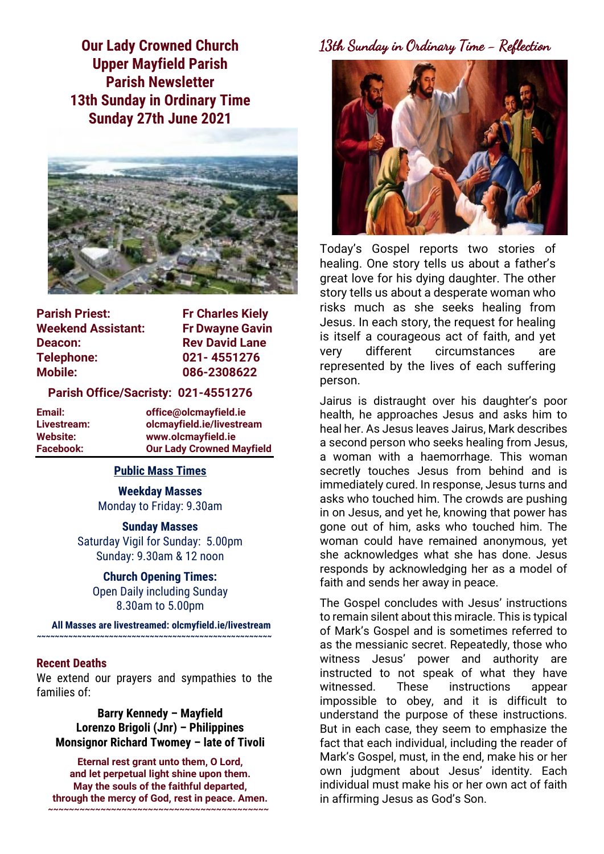**Our Lady Crowned Church Upper Mayfield Parish Parish Newsletter 13th Sunday in Ordinary Time Sunday 27th June 2021**



| <b>Parish Priest:</b>     | <b>Fr Charles Kiely</b> |
|---------------------------|-------------------------|
| <b>Weekend Assistant:</b> | <b>Fr Dwayne Gavin</b>  |
| Deacon:                   | <b>Rev David Lane</b>   |
| <b>Telephone:</b>         | 021-4551276             |
| <b>Mobile:</b>            | 086-2308622             |

#### **Parish Office/Sacristy: 021-4551276**

| Email:      | office@olcmayfield.ie            |
|-------------|----------------------------------|
| Livestream: | olcmayfield.ie/livestream        |
| Website:    | www.olcmayfield.ie               |
| Facebook:   | <b>Our Lady Crowned Mayfield</b> |

#### **Public Mass Times**

**Weekday Masses** Monday to Friday: 9.30am

**Sunday Masses** Saturday Vigil for Sunday: 5.00pm Sunday: 9.30am & 12 noon

**Church Opening Times:** Open Daily including Sunday 8.30am to 5.00pm

**All Masses are livestreamed: olcmyfield.ie/livestream ~~~~~~~~~~~~~~~~~~~~~~~~~~~~~~~~~~~~~~~~~~~~~~~~~~~~**

#### **Recent Deaths**

We extend our prayers and sympathies to the families of:

**Barry Kennedy – Mayfield Lorenzo Brigoli (Jnr) – Philippines Monsignor Richard Twomey – late of Tivoli**

**Eternal rest grant unto them, O Lord, and let perpetual light shine upon them. May the souls of the faithful departed, through the mercy of God, rest in peace. Amen. ~~~~~~~~~~~~~~~~~~~~~~~~~~~~~~~~~~~~~~~~~~**

# 13th Sunday in Ordinary Time - Reflection



Today's Gospel reports two stories of healing. One story tells us about a father's great love for his dying daughter. The other story tells us about a desperate woman who risks much as she seeks healing from Jesus. In each story, the request for healing is itself a courageous act of faith, and yet very different circumstances are represented by the lives of each suffering person.

Jairus is distraught over his daughter's poor health, he approaches Jesus and asks him to heal her. As Jesus leaves Jairus, Mark describes a second person who seeks healing from Jesus, a woman with a haemorrhage. This woman secretly touches Jesus from behind and is immediately cured. In response, Jesus turns and asks who touched him. The crowds are pushing in on Jesus, and yet he, knowing that power has gone out of him, asks who touched him. The woman could have remained anonymous, yet she acknowledges what she has done. Jesus responds by acknowledging her as a model of faith and sends her away in peace.

The Gospel concludes with Jesus' instructions to remain silent about this miracle. This is typical of Mark's Gospel and is sometimes referred to as the messianic secret. Repeatedly, those who witness Jesus' power and authority are instructed to not speak of what they have witnessed. These instructions appear impossible to obey, and it is difficult to understand the purpose of these instructions. But in each case, they seem to emphasize the fact that each individual, including the reader of Mark's Gospel, must, in the end, make his or her own judgment about Jesus' identity. Each individual must make his or her own act of faith in affirming Jesus as God's Son.